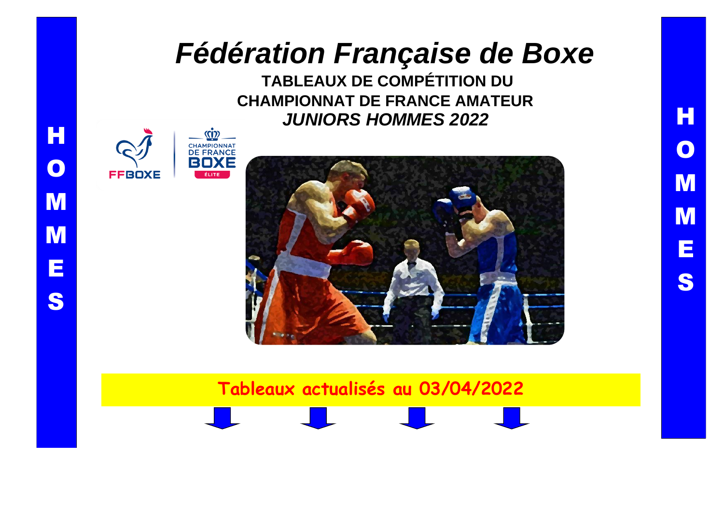## *Fédération Française de Boxe*

**TABLEAUX DE COMPÉTITION DU CHAMPIONNAT DE FRANCE AMATEUR**  *JUNIORS HOMMES 2022*



HOMME<sub>S</sub>

**M** 

Е

S

M

Н

 $\overline{\mathbf{o}}$ 



### **Tableaux actualisés au 03/04/2022**

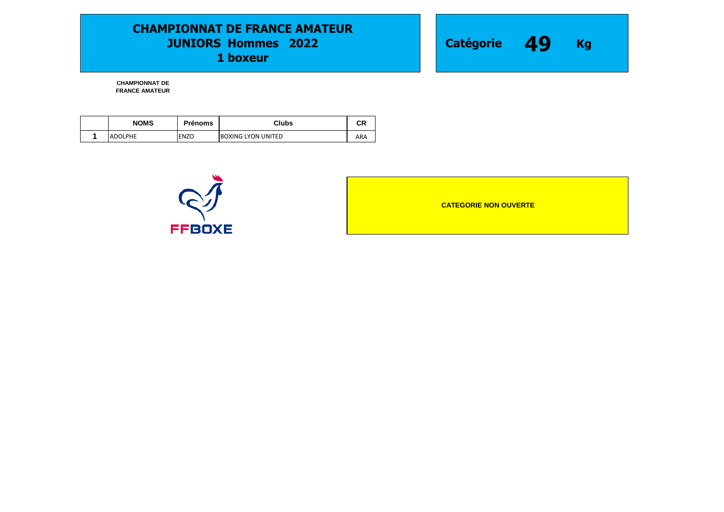### **CHAMPIONNAT DE FRANCE AMATEUR JUNIORS Hommes 2022 1 boxeur**



**CHAMPIONNAT DE FRANCE AMATEUR** 

| <b>NOMS</b>    | <b>Prénoms</b> | Clubs               | СR  |
|----------------|----------------|---------------------|-----|
| <b>ADOLPHE</b> | <b>ENZO</b>    | IBOXING LYON UNITED | ARA |



**CATEGORIE NON OUVERTE**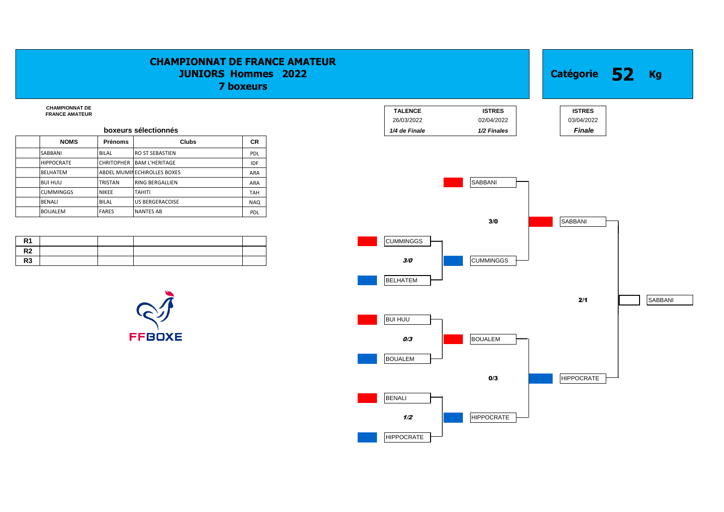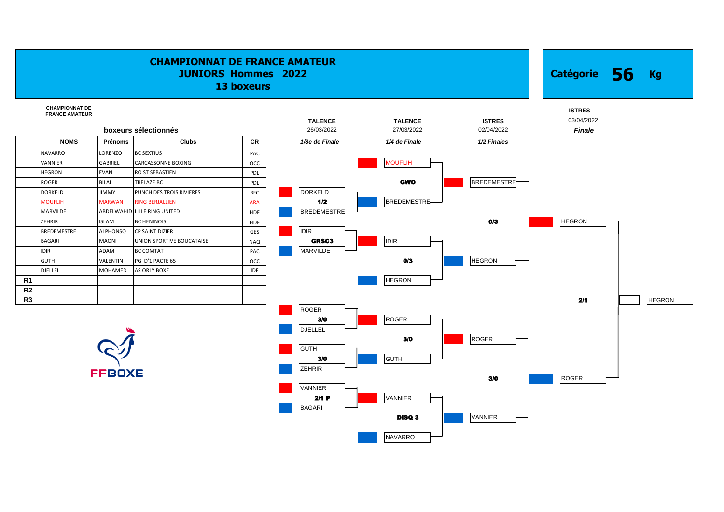#### **CHAMPIONNAT DE FRANCE AMATEUR Kg Catégorie 56 JUNIORS Hommes 2022 13 boxeurs CHAMPIONNAT DE ISTRES FRANCE AMATEUR TALENCE TALENCE ISTRES** 03/04/2022 **boxeurs sélectionnés**26/03/2022 27/03/2022 02/04/2022 *Finale* **NOMS Prénoms Clubs CR** *1/8e de Finale 1/4 de Finale 1/2 Finales* NAVARRO LORENZO BC SEXTIUS PAC VANNIER GABRIEL CARCASSONNE BOXING OCC OCCUPATION OF BOXING OCCUPATION OF BOXING OCCUPATION OF BOXING OF BOXING HEGRON EVAN RO ST SEBASTIEN ROGER BILAL TRELAZE BC PDL GWO BREDEMESTRE **DORKELD** JIMMY PUNCH DES TROIS RIVIERES BFC BFC DORKELD MOUFLIH MARWAN RING BERJALLIEN ARA ARA 112 112 BREDEMESTRE MARVILDE ABDELWAHID LILLE RING UNITED HE HOF BREDEMESTRE-ZEHRIR ISLAM BCHENINOIS HDF HDF 1, 2000 AND 1999 HOME DISLOVERING **0/3 HEGRON** HEGRON BREDEMESTRE ALPHONSO CP SAINT DIZIER **EXAMPLE ALPHONSO** CP SAINT DIZIER **BAGARI MAONI UNION SPORTIVE BOUCATAISE** NAQ **GRSC3** IDIR IDIR ADAM BC COMTAT PAC MARVILDE GUTH VALENTIN PG D'1 PACTE 65 OCC 0/3 HEGRON DJELLEL MOHAMED AS ORLY BOXE **R1** HEGRON **R3** 2/1 HEGRON ROGER 3/0 ROGER DJELLEL **3/0 | ROGER GUTH**  $3/0$   $\vert$  GUTH **ZEHRIR FFBOXE 3/0** ROGER VANNIER 2/1 P **D** VANNIER BAGARI DISQ 3 VANNIER

NAVARRO

**R2**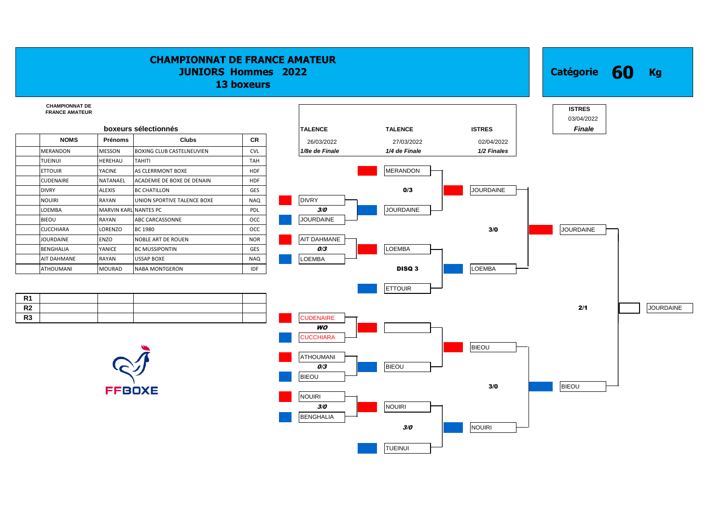#### **CHAMPIONNAT DE FRANCE AMATEUR Catégorie 60 JUNIORS Hommes 2022 Kg 13 boxeurs CHAMPIONNAT DE ISTRES FRANCE AMATEUR**  03/04/2022 **boxeurs sélectionnésTALENCE TALENCE ISTRES** *Finale* **NOMS Prénoms Clubs CR** 26/03/2022 27/03/2022 02/04/2022 MERANDON MESSON BOXING CLUB CASTELNEUVIEN CVL *1/8e de Finale 1/4 de Finale 1/2 Finales* TUEINUI HEREHAU TAHITI TAH ETTOUIR YACINE AS CLERRMONT BOXE HDF MERANDON CUDENAIRE NATANAEL ACADEMIE DE BOXE DE DENAIN DIVRY ALEXIS BC CHATILLON GES 0/3 JOURDAINE NOUIRI **RAYAN** UNION SPORTIVE TALENCE BOXE NAQ DIVRY LOEMBA MARVIN KARL NANTES PC PDL PDL POL 3/0 JOURDAINE BIEOU RAYAN ABC CARCASSONNE OCC JOURDAINE CUCCHIARA |LORENZO |BC 1980 | OCC | JOURDAINE ENZO NOBLE ART DE ROUEN NOR NOR AIT DAHMANE BENGHALIA YANICE BC MUSSIPONTIN GES GES **0/3 LO**EMBA AIT DAHMANE RAYAN USSAP BOXE NAQ NAQ LOEMBA ATHOUMANI MOURAD NABA MONTGERON IDF DISQ 3 LOEMBA ETTOUIR **R2** 2/1 JOURDAINE **R3** CUDENAIRE WO **CUCCHIARA** BIEOU ATHOUMANI  $\mathbf{0}/3$  **BIEOU** BIEOU 3/0 BIEOU **FFBOXE** NOUIRI  $3/0$  NOUIRI BENGHALIA 3/0 | NOUIRI TUEINUI

**R1**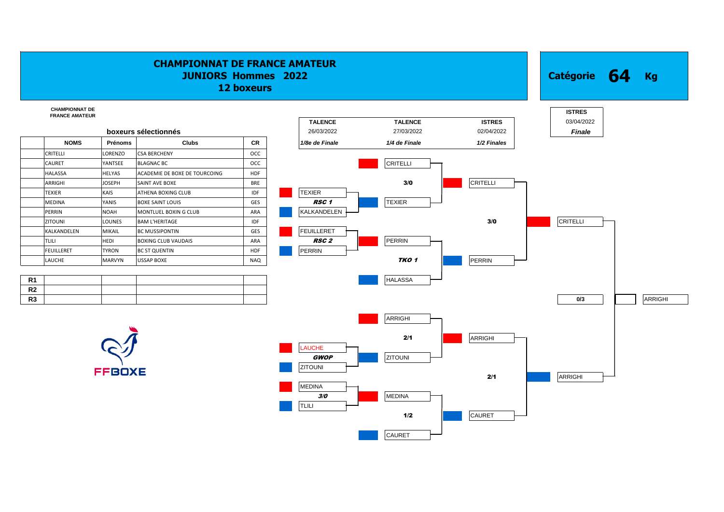### **CHAMPIONNAT DE FRANCE AMATEUR JUNIORS Hommes 2022 12 boxeurs**

#### **CHAMPIONNAT DE FRANCE AMATEUR**

#### **boxeurs sélectionnés**

| <b>NOMS</b>       | Prénoms       | <b>Clubs</b>                  | <b>CR</b>  | 1/8e de Finale    | 1/4 de Finale   |  | $1/2$ Fi      |
|-------------------|---------------|-------------------------------|------------|-------------------|-----------------|--|---------------|
| CRITELLI          | LORENZO       | <b>CSA BERCHENY</b>           | <b>OCC</b> |                   |                 |  |               |
| <b>CAURET</b>     | YANTSEE       | <b>BLAGNAC BC</b>             | <b>OCC</b> |                   | <b>CRITELLI</b> |  |               |
| <b>HALASSA</b>    | <b>HELYAS</b> | ACADEMIE DE BOXE DE TOURCOING | <b>HDF</b> |                   |                 |  |               |
| ARRIGHI           | <b>JOSEPH</b> | SAINT AVE BOXE                | <b>BRE</b> |                   | 3/0             |  | <b>CRITEL</b> |
| <b>TEXIER</b>     | KAIS          | <b>ATHENA BOXING CLUB</b>     | <b>IDF</b> | <b>TEXIER</b>     |                 |  |               |
| <b>MEDINA</b>     | YANIS         | <b>BOXE SAINT LOUIS</b>       | GES        | <b>RSC1</b>       | <b>TEXIER</b>   |  |               |
| PERRIN            | <b>NOAH</b>   | <b>MONTLUEL BOXIN G CLUB</b>  | ARA        | KALKANDELEN       |                 |  |               |
| <b>ZITOUNI</b>    | <b>LOUNES</b> | <b>BAM L'HERITAGE</b>         | <b>IDF</b> |                   |                 |  | 3             |
| KALKANDELEN       | <b>MIKAIL</b> | <b>BC MUSSIPONTIN</b>         | <b>GES</b> | <b>FEUILLERET</b> |                 |  |               |
| <b>TLILI</b>      | <b>HEDI</b>   | <b>BOXING CLUB VAUDAIS</b>    | ARA        | <i>RSC 2</i>      | <b>PERRIN</b>   |  |               |
| <b>FEUILLERET</b> | <b>TYRON</b>  | <b>BC ST QUENTIN</b>          | <b>HDF</b> | <b>PERRIN</b>     |                 |  |               |
| LAUCHE            | <b>MARVYN</b> | <b>USSAP BOXE</b>             | <b>NAQ</b> |                   | TKO 1           |  | <b>PERRIN</b> |

| D <sub>4</sub><br><u>в і</u> |  |  | <b>HALASSA</b> |
|------------------------------|--|--|----------------|
| R2                           |  |  |                |
| R <sub>3</sub>               |  |  |                |





**Kg 64 Catégorie**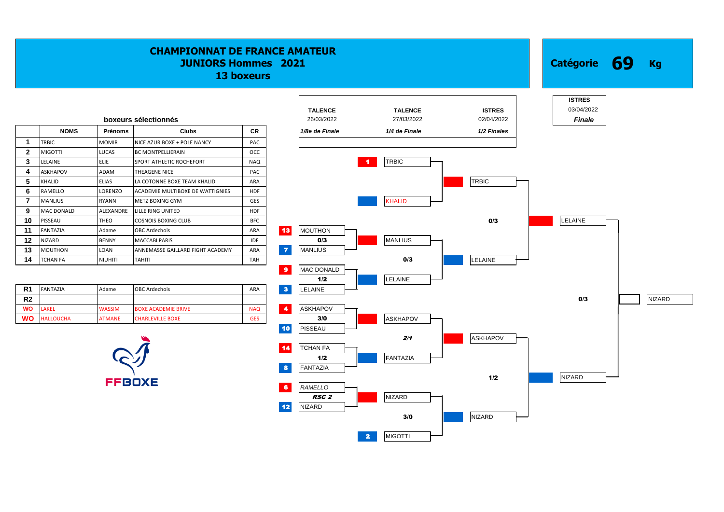#### **CHAMPIONNAT DE FRANCE AMATEUR JUNIORS Hommes 2021 13 boxeurs**

 TRBIC MOMIR NICE AZUR BOXE + POLE NANCY PAC MIGOTTI LUCAS BC MONTPELLIERAIN CCC LELAINE ELIE SPORT ATHLETIC ROCHEFORT NAQ ASKHAPOV **ADAM** THEAGENE NICE **PAC**  KHALID ELIAS LA COTONNE BOXE TEAM KHALID ARA TRBIC RAMELLO **LORENZO ACADEMIE MULTIBOXE DE WATTIGNIES** HDF MANLIUS RYANN METZ BOXING GYM GES KHALID MAC DONALD **ALEXANDRE** LILLE RING UNITED **HDF**  FANTAZIA Adame OBC Ardechois ARA 13 MOUTHON NIZARD BENNY MACCABI PARIS IDF DE **0/3 MA**NLIUS MOUTHON LOAN ANNEMASSE GAILLARD FIGHT ACADEMY ARA **7** MANLIUS TCHAN FA NIUHITI TAHITI TAH 0/3 LELAINE **boxeurs sélectionnés**

| R <sub>2</sub>                                 |                            |            |                 |                 |
|------------------------------------------------|----------------------------|------------|-----------------|-----------------|
|                                                |                            |            |                 |                 |
| <b>WO</b><br><b>LAKEL</b><br><b>WASSIM</b>     | <b>BOXE ACADEMIE BRIVE</b> | <b>NAQ</b> | <b>ASKHAPOV</b> |                 |
| <b>WO</b><br><b>HALLOUCHA</b><br><b>ATMANE</b> | <b>CHARLEVILLE BOXE</b>    | <b>GES</b> | 3/0             | <b>ASKHAPOV</b> |





**Kg**

**Catégorie 69**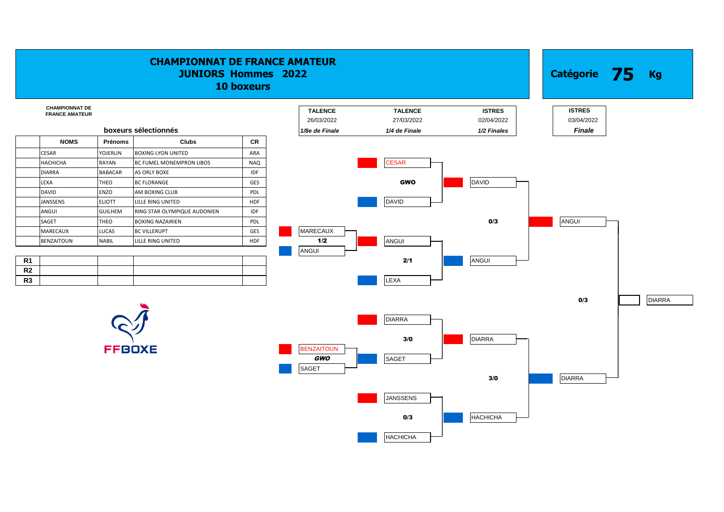#### **CHAMPIONNAT DE FRANCE AMATEUR Kg Catégorie 75 JUNIORS Hommes 2022 10 boxeurs CHAMPIONNAT DE ISTRES FRANCE AMATEUR TALENCE TALENCE ISTRES** 26/03/2022 27/03/2022 02/04/2022 03/04/2022 **boxeurs sélectionnés***1/8e de Finale 1/4 de Finale 1/2 Finales Finale* **NOMS Prénoms Clubs CR** CESAR YOJERLIN BOXING LYON UNITED ARA HACHICHA RAYAN BC FUMEL MONEMPRON LIBOS NAQ NAQ CESAR DIARRA BABACAR AS ORLY BOXE IDF IDF LEXA THEO BC FLORANGE GES GWO DAVID DAVID ENZO AM BOXING CLUB JANSSENS ELIOTT LILLE RING UNITED HDF HDF DAVID DAVID DAVID ANGUI GUILHEM RING STAR OLYMPIQUE AUDONIEN IDF SAGET THEO BOXING NAZAIRIEN PDL 0/3 ANGUI MARECAUX LUCAS BC VILLERUPT GES MARECAUX BENZAITOUN NABIL LILLE RING UNITED HDF 1/2 ANGUI ANGUI **R1** 2/1 ANGUI **R2 R3**  $\begin{vmatrix} \cdot & \cdot & \cdot \\ \cdot & \cdot & \cdot \end{vmatrix}$   $\begin{vmatrix} \cdot & \cdot & \cdot \\ \cdot & \cdot & \cdot \end{vmatrix}$   $\begin{vmatrix} \cdot & \cdot & \cdot \\ \cdot & \cdot & \cdot \end{vmatrix}$   $\begin{vmatrix} \cdot & \cdot & \cdot \\ \cdot & \cdot & \cdot \end{vmatrix}$   $\begin{vmatrix} \cdot & \cdot & \cdot \\ \cdot & \cdot & \cdot \end{vmatrix}$ 0/3 DIARRA DIARRA 3/0 **DIARRA FFBOXE BENZAITOUN** GWO SAGET SAGET 3/0 DIARRA JANSSENS 0/3 **HACHICHA** HACHICHA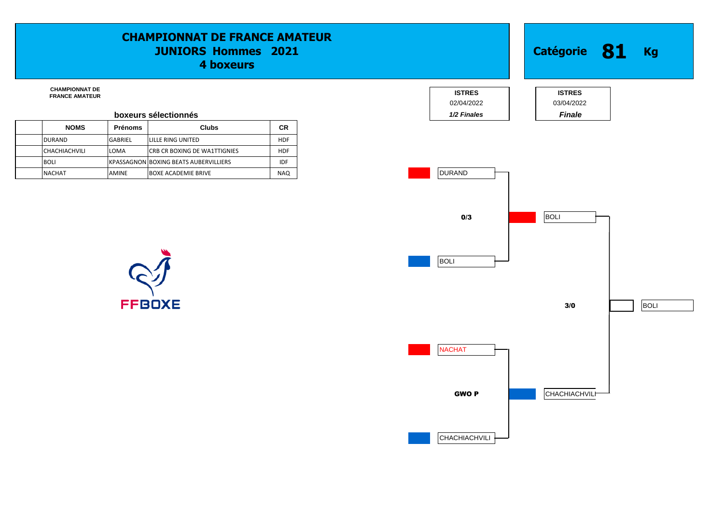### **CHAMPIONNAT DE FRANCE AMATEUR JUNIORS Hommes 2021 4 boxeurs**

**CHAMPIONNAT DE** 

#### **boxeurs sélectionnés**

| <b>NOMS</b>           | <b>Prénoms</b> | <b>Clubs</b>                                 | CR         |
|-----------------------|----------------|----------------------------------------------|------------|
| <b>DURAND</b>         | <b>GABRIEL</b> | LILLE RING UNITED                            | <b>HDF</b> |
| <b>ICHACHIACHVILI</b> | LOMA           | <b>CRB CR BOXING DE WA1TTIGNIES</b>          | <b>HDF</b> |
| <b>BOLI</b>           |                | <b>KPASSAGNON BOXING BEATS AUBERVILLIERS</b> | <b>IDF</b> |
| <b>NACHAT</b>         | <b>AMINE</b>   | <b>BOXE ACADEMIE BRIVE</b>                   | <b>NAQ</b> |



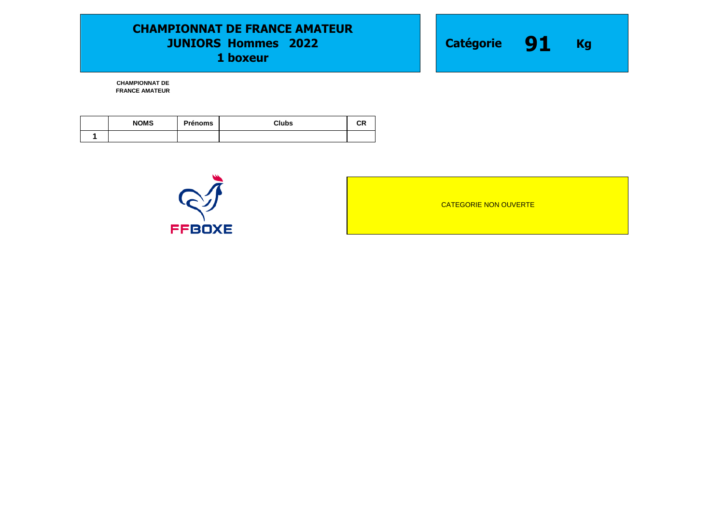### **CHAMPIONNAT DE FRANCE AMATEUR JUNIORS Hommes 2022 1 boxeur**



**CHAMPIONNAT DE FRANCE AMATEUR** 

| <b>NOMS</b> | <b>Prénoms</b> | Clubs | СR |
|-------------|----------------|-------|----|
|             |                |       |    |



CATEGORIE NON OUVERTE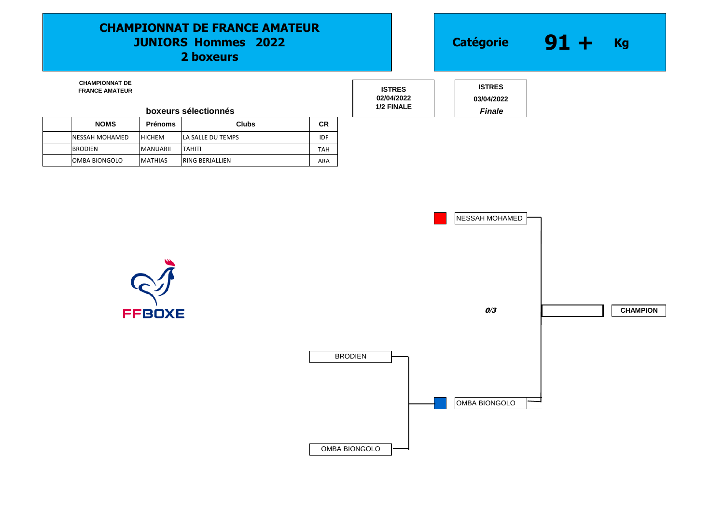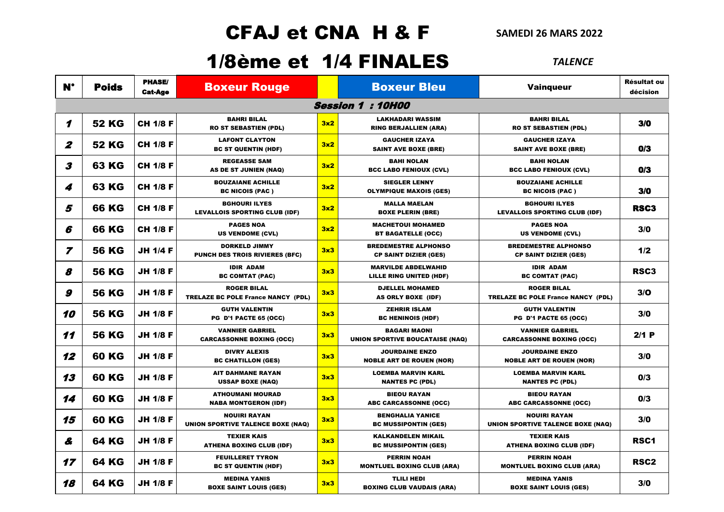### CFAJ et CNA H & F

### **SAMEDI 26 MARS 2022**

### 1/8ème et 1/4 FINALES *TALENCE*

| <b>N°</b>      | <b>Poids</b> | <b>PHASE/</b><br><b>Cat-Age</b> | <b>Boxeur Rouge</b>                                             |     | <b>Boxeur Bleu</b>                                            | <b>Vainqueur</b>                                                | Résultat ou<br>décision |
|----------------|--------------|---------------------------------|-----------------------------------------------------------------|-----|---------------------------------------------------------------|-----------------------------------------------------------------|-------------------------|
|                |              |                                 |                                                                 |     | <b>Session 1 : 10H00</b>                                      |                                                                 |                         |
| 1              | <b>52 KG</b> | <b>CH 1/8 F</b>                 | <b>BAHRI BILAL</b><br><b>RO ST SEBASTIEN (PDL)</b>              | 3x2 | <b>LAKHADARI WASSIM</b><br><b>RING BERJALLIEN (ARA)</b>       | <b>BAHRI BILAL</b><br><b>RO ST SEBASTIEN (PDL)</b>              | 3/0                     |
| 2              | <b>52 KG</b> | <b>CH 1/8 F</b>                 | <b>LAFONT CLAYTON</b><br><b>BC ST QUENTIN (HDF)</b>             | 3x2 | <b>GAUCHER IZAYA</b><br><b>SAINT AVE BOXE (BRE)</b>           | <b>GAUCHER IZAYA</b><br><b>SAINT AVE BOXE (BRE)</b>             | 0/3                     |
| 3              | <b>63 KG</b> | <b>CH 1/8 F</b>                 | <b>REGEASSE SAM</b><br>AS DE ST JUNIEN (NAQ)                    | 3x2 | <b>BAHI NOLAN</b><br><b>BCC LABO FENIOUX (CVL)</b>            | <b>BAHI NOLAN</b><br><b>BCC LABO FENIOUX (CVL)</b>              | O/3                     |
| 4              | <b>63 KG</b> | <b>CH 1/8 F</b>                 | <b>BOUZAIANE ACHILLE</b><br><b>BC NICOIS (PAC)</b>              | 3x2 | <b>SIEGLER LENNY</b><br><b>OLYMPIQUE MAXOIS (GES)</b>         | <b>BOUZAIANE ACHILLE</b><br><b>BC NICOIS (PAC)</b>              | 3/0                     |
| 5              | <b>66 KG</b> | <b>CH 1/8 F</b>                 | <b>BGHOURI ILYES</b><br><b>LEVALLOIS SPORTING CLUB (IDF)</b>    | 3x2 | <b>MALLA MAELAN</b><br><b>BOXE PLERIN (BRE)</b>               | <b>BGHOURI ILYES</b><br><b>LEVALLOIS SPORTING CLUB (IDF)</b>    | RSC3                    |
| 6              | <b>66 KG</b> | <b>CH 1/8 F</b>                 | <b>PAGES NOA</b><br><b>US VENDOME (CVL)</b>                     | 3x2 | <b>MACHETOUI MOHAMED</b><br><b>BT BAGATELLE (OCC)</b>         | <b>PAGES NOA</b><br><b>US VENDOME (CVL)</b>                     | 3/0                     |
| $\overline{z}$ | <b>56 KG</b> | <b>JH 1/4 F</b>                 | <b>DORKELD JIMMY</b><br><b>PUNCH DES TROIS RIVIERES (BFC)</b>   | 3x3 | <b>BREDEMESTRE ALPHONSO</b><br><b>CP SAINT DIZIER (GES)</b>   | <b>BREDEMESTRE ALPHONSO</b><br><b>CP SAINT DIZIER (GES)</b>     | 1/2                     |
| 8              | <b>56 KG</b> | <b>JH 1/8 F</b>                 | <b>IDIR ADAM</b><br><b>BC COMTAT (PAC)</b>                      | 3x3 | <b>MARVILDE ABDELWAHID</b><br>LILLE RING UNITED (HDF)         | <b>IDIR ADAM</b><br><b>BC COMTAT (PAC)</b>                      | RSC3                    |
| 9              | <b>56 KG</b> | <b>JH 1/8 F</b>                 | <b>ROGER BILAL</b><br>TRELAZE BC POLE France NANCY (PDL)        | 3x3 | <b>DJELLEL MOHAMED</b><br>AS ORLY BOXE (IDF)                  | <b>ROGER BILAL</b><br><b>TRELAZE BC POLE France NANCY (PDL)</b> | 3/O                     |
| 10             | <b>56 KG</b> | <b>JH 1/8 F</b>                 | <b>GUTH VALENTIN</b><br>PG D'1 PACTE 65 (OCC)                   | 3x3 | <b>ZEHRIR ISLAM</b><br><b>BC HENINOIS (HDF)</b>               | <b>GUTH VALENTIN</b><br>PG D'1 PACTE 65 (OCC)                   | 3/0                     |
| 11             | <b>56 KG</b> | <b>JH 1/8 F</b>                 | <b>VANNIER GABRIEL</b><br><b>CARCASSONNE BOXING (OCC)</b>       | 3x3 | <b>BAGARI MAONI</b><br><b>UNION SPORTIVE BOUCATAISE (NAQ)</b> | <b>VANNIER GABRIEL</b><br><b>CARCASSONNE BOXING (OCC)</b>       | 2/1 P                   |
| 12             | <b>60 KG</b> | <b>JH 1/8 F</b>                 | <b>DIVRY ALEXIS</b><br><b>BC CHATILLON (GES)</b>                | 3x3 | <b>JOURDAINE ENZO</b><br><b>NOBLE ART DE ROUEN (NOR)</b>      | <b>JOURDAINE ENZO</b><br><b>NOBLE ART DE ROUEN (NOR)</b>        | 3/0                     |
| 13             | <b>60 KG</b> | <b>JH 1/8 F</b>                 | <b>AIT DAHMANE RAYAN</b><br><b>USSAP BOXE (NAQ)</b>             | 3x3 | <b>LOEMBA MARVIN KARL</b><br><b>NANTES PC (PDL)</b>           | <b>LOEMBA MARVIN KARL</b><br><b>NANTES PC (PDL)</b>             | 0/3                     |
| 14             | <b>60 KG</b> | <b>JH 1/8 F</b>                 | <b>ATHOUMANI MOURAD</b><br><b>NABA MONTGERON (IDF)</b>          | 3x3 | <b>BIEOU RAYAN</b><br>ABC CARCASSONNE (OCC)                   | <b>BIEOU RAYAN</b><br><b>ABC CARCASSONNE (OCC)</b>              | 0/3                     |
| 15             | <b>60 KG</b> | <b>JH 1/8 F</b>                 | <b>NOUIRI RAYAN</b><br><b>UNION SPORTIVE TALENCE BOXE (NAQ)</b> | 3x3 | <b>BENGHALIA YANICE</b><br><b>BC MUSSIPONTIN (GES)</b>        | <b>NOUIRI RAYAN</b><br><b>UNION SPORTIVE TALENCE BOXE (NAQ)</b> | 3/0                     |
| £              | <b>64 KG</b> | <b>JH 1/8 F</b>                 | <b>TEXIER KAIS</b><br><b>ATHENA BOXING CLUB (IDF)</b>           | 3x3 | <b>KALKANDELEN MIKAIL</b><br><b>BC MUSSIPONTIN (GES)</b>      | <b>TEXIER KAIS</b><br><b>ATHENA BOXING CLUB (IDF)</b>           | RSC <sub>1</sub>        |
| 17             | <b>64 KG</b> | <b>JH 1/8 F</b>                 | <b>FEUILLERET TYRON</b><br><b>BC ST QUENTIN (HDF)</b>           | 3x3 | <b>PERRIN NOAH</b><br><b>MONTLUEL BOXING CLUB (ARA)</b>       | <b>PERRIN NOAH</b><br><b>MONTLUEL BOXING CLUB (ARA)</b>         | RSC <sub>2</sub>        |
| 18             | <b>64 KG</b> | <b>JH 1/8 F</b>                 | <b>MEDINA YANIS</b><br><b>BOXE SAINT LOUIS (GES)</b>            | 3x3 | <b>TLILI HEDI</b><br><b>BOXING CLUB VAUDAIS (ARA)</b>         | <b>MEDINA YANIS</b><br><b>BOXE SAINT LOUIS (GES)</b>            | 3/0                     |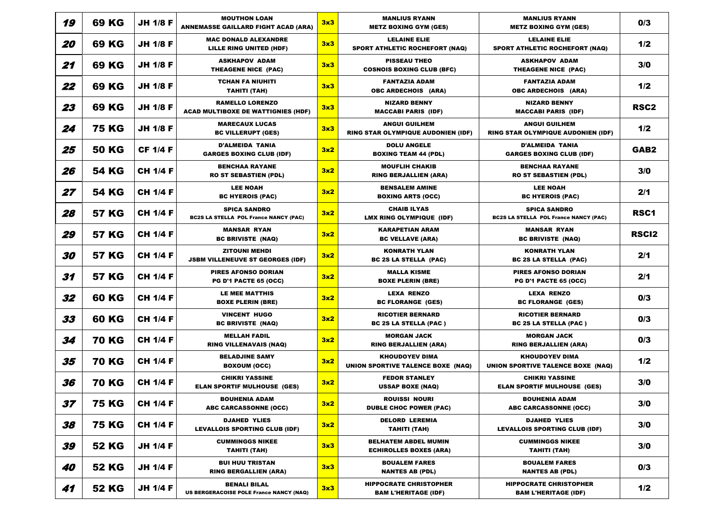| 19 | <b>69 KG</b> | <b>JH 1/8 F</b> | <b>MOUTHON LOAN</b><br><b>ANNEMASSE GAILLARD FIGHT ACAD (ARA)</b>   | 3x3 | <b>MANLIUS RYANN</b><br><b>METZ BOXING GYM (GES)</b>         | <b>MANLIUS RYANN</b><br><b>METZ BOXING GYM (GES)</b>                | 0/3              |
|----|--------------|-----------------|---------------------------------------------------------------------|-----|--------------------------------------------------------------|---------------------------------------------------------------------|------------------|
| 20 | <b>69 KG</b> | <b>JH 1/8 F</b> | <b>MAC DONALD ALEXANDRE</b><br>LILLE RING UNITED (HDF)              | 3x3 | <b>LELAINE ELIE</b><br><b>SPORT ATHLETIC ROCHEFORT (NAQ)</b> | <b>LELAINE ELIE</b><br><b>SPORT ATHLETIC ROCHEFORT (NAQ)</b>        | 1/2              |
| 21 | <b>69 KG</b> | <b>JH 1/8 F</b> | <b>ASKHAPOV ADAM</b><br>THEAGENE NICE (PAC)                         | 3x3 | <b>PISSEAU THEO</b><br><b>COSNOIS BOXING CLUB (BFC)</b>      | <b>ASKHAPOV ADAM</b><br>THEAGENE NICE (PAC)                         | 3/0              |
| 22 | <b>69 KG</b> | <b>JH 1/8 F</b> | <b>TCHAN FA NIUHITI</b><br>TAHITI (TAH)                             | 3x3 | <b>FANTAZIA ADAM</b><br><b>OBC ARDECHOIS (ARA)</b>           | <b>FANTAZIA ADAM</b><br><b>OBC ARDECHOIS (ARA)</b>                  | 1/2              |
| 23 | <b>69 KG</b> | <b>JH 1/8 F</b> | <b>RAMELLO LORENZO</b><br><b>ACAD MULTIBOXE DE WATTIGNIES (HDF)</b> | 3x3 | <b>NIZARD BENNY</b><br><b>MACCABI PARIS (IDF)</b>            | <b>NIZARD BENNY</b><br><b>MACCABI PARIS (IDF)</b>                   | RSC <sub>2</sub> |
| 24 | <b>75 KG</b> | <b>JH 1/8 F</b> | <b>MARECAUX LUCAS</b><br><b>BC VILLERUPT (GES)</b>                  | 3x3 | <b>ANGUI GUILHEM</b><br>RING STAR OLYMPIQUE AUDONIEN (IDF)   | <b>ANGUI GUILHEM</b><br><b>RING STAR OLYMPIQUE AUDONIEN (IDF)</b>   | 1/2              |
| 25 | <b>50 KG</b> | <b>CF 1/4 F</b> | <b>D'ALMEIDA TANIA</b><br><b>GARGES BOXING CLUB (IDF)</b>           | 3x2 | <b>DOLU ANGELE</b><br><b>BOXING TEAM 44 (PDL)</b>            | <b>D'ALMEIDA TANIA</b><br><b>GARGES BOXING CLUB (IDF)</b>           | GAB <sub>2</sub> |
| 26 | <b>54 KG</b> | <b>CH 1/4 F</b> | <b>BENCHAA RAYANE</b><br><b>RO ST SEBASTIEN (PDL)</b>               | 3x2 | <b>MOUFLIH CHAKIB</b><br><b>RING BERJALLIEN (ARA)</b>        | <b>BENCHAA RAYANE</b><br><b>RO ST SEBASTIEN (PDL)</b>               | 3/0              |
| 27 | <b>54 KG</b> | <b>CH 1/4 F</b> | <b>LEE NOAH</b><br><b>BC HYEROIS (PAC)</b>                          | 3x2 | <b>BENSALEM AMINE</b><br><b>BOXING ARTS (OCC)</b>            | <b>LEE NOAH</b><br><b>BC HYEROIS (PAC)</b>                          | 2/1              |
| 28 | <b>57 KG</b> | <b>CH 1/4 F</b> | <b>SPICA SANDRO</b><br><b>BC2S LA STELLA POL France NANCY (PAC)</b> | 3x2 | <b>CHAIB ILYAS</b><br>LMX RING OLYMPIQUE (IDF)               | <b>SPICA SANDRO</b><br><b>BC2S LA STELLA POL France NANCY (PAC)</b> | RSC <sub>1</sub> |
| 29 | <b>57 KG</b> | <b>CH 1/4 F</b> | <b>MANSAR RYAN</b><br><b>BC BRIVISTE (NAQ)</b>                      | 3x2 | <b>KARAPETIAN ARAM</b><br><b>BC VELLAVE (ARA)</b>            | <b>MANSAR RYAN</b><br><b>BC BRIVISTE (NAQ)</b>                      | <b>RSCI2</b>     |
| 30 | <b>57 KG</b> | <b>CH 1/4 F</b> | <b>ZITOUNI MEHDI</b><br><b>JSBM VILLENEUVE ST GEORGES (IDF)</b>     | 3x2 | <b>KONRATH YLAN</b><br><b>BC 2S LA STELLA (PAC)</b>          | <b>KONRATH YLAN</b><br><b>BC 2S LA STELLA (PAC)</b>                 | 2/1              |
| 31 | <b>57 KG</b> | <b>CH 1/4 F</b> | <b>PIRES AFONSO DORIAN</b><br><b>PG D'1 PACTE 65 (OCC)</b>          | 3x2 | <b>MALLA KISME</b><br><b>BOXE PLERIN (BRE)</b>               | <b>PIRES AFONSO DORIAN</b><br><b>PG D'1 PACTE 65 (OCC)</b>          | 2/1              |
| 32 | <b>60 KG</b> | <b>CH 1/4 F</b> | LE MEE MATTHIS<br><b>BOXE PLERIN (BRE)</b>                          | 3x2 | <b>LEXA RENZO</b><br><b>BC FLORANGE (GES)</b>                | <b>LEXA RENZO</b><br><b>BC FLORANGE (GES)</b>                       | 0/3              |
| 33 | <b>60 KG</b> | <b>CH 1/4 F</b> | <b>VINCENT HUGO</b><br><b>BC BRIVISTE (NAQ)</b>                     | 3x2 | <b>RICOTIER BERNARD</b><br><b>BC 2S LA STELLA (PAC)</b>      | <b>RICOTIER BERNARD</b><br><b>BC 2S LA STELLA (PAC)</b>             | 0/3              |
| 34 | <b>70 KG</b> | <b>CH 1/4 F</b> | <b>MELLAH FADIL</b><br><b>RING VILLENAVAIS (NAQ)</b>                | 3x2 | <b>MORGAN JACK</b><br><b>RING BERJALLIEN (ARA)</b>           | <b>MORGAN JACK</b><br><b>RING BERJALLIEN (ARA)</b>                  | 0/3              |
| 35 | <b>70 KG</b> | <b>CH 1/4 F</b> | <b>BELADJINE SAMY</b><br><b>BOXOUM (OCC)</b>                        | 3x2 | <b>KHOUDOYEV DIMA</b><br>UNION SPORTIVE TALENCE BOXE (NAQ)   | <b>KHOUDOYEV DIMA</b><br>UNION SPORTIVE TALENCE BOXE (NAQ)          | 1/2              |
| 36 | <b>70 KG</b> | <b>CH 1/4 F</b> | <b>CHIKRI YASSINE</b><br><b>ELAN SPORTIF MULHOUSE (GES)</b>         | 3x2 | <b>FEDOR STANLEY</b><br><b>USSAP BOXE (NAQ)</b>              | <b>CHIKRI YASSINE</b><br><b>ELAN SPORTIF MULHOUSE (GES)</b>         | 3/0              |
| 37 | <b>75 KG</b> | <b>CH 1/4 F</b> | <b>BOUHENIA ADAM</b><br><b>ABC CARCASSONNE (OCC)</b>                | 3x2 | <b>ROUISSI NOURI</b><br><b>DUBLE CHOC POWER (PAC)</b>        | <b>BOUHENIA ADAM</b><br><b>ABC CARCASSONNE (OCC)</b>                | 3/0              |
| 38 | <b>75 KG</b> | <b>CH 1/4 F</b> | <b>DJAHED YLIES</b><br><b>LEVALLOIS SPORTING CLUB (IDF)</b>         | 3x2 | <b>DELORD LEREMIA</b><br>TAHITI (TAH)                        | <b>DJAHED YLIES</b><br><b>LEVALLOIS SPORTING CLUB (IDF)</b>         | 3/0              |
| 39 | <b>52 KG</b> | <b>JH 1/4 F</b> | <b>CUMMINGGS NIKEE</b><br>TAHITI (TAH)                              | 3x3 | <b>BELHATEM ABDEL MUMIN</b><br><b>ECHIROLLES BOXES (ARA)</b> | <b>CUMMINGGS NIKEE</b><br>TAHITI (TAH)                              | 3/0              |
| 40 | <b>52 KG</b> | <b>JH 1/4 F</b> | <b>BUI HUU TRISTAN</b><br><b>RING BERGALLIEN (ARA)</b>              | 3x3 | <b>BOUALEM FARES</b><br><b>NANTES AB (PDL)</b>               | <b>BOUALEM FARES</b><br><b>NANTES AB (PDL)</b>                      | 0/3              |
| 41 | 52 KG        | <b>JH 1/4 F</b> | <b>BENALI BILAL</b><br>US BERGERACOISE POLE France NANCY (NAQ)      | 3x3 | <b>HIPPOCRATE CHRISTOPHER</b><br><b>BAM L'HERITAGE (IDF)</b> | <b>HIPPOCRATE CHRISTOPHER</b><br><b>BAM L'HERITAGE (IDF)</b>        | 1/2              |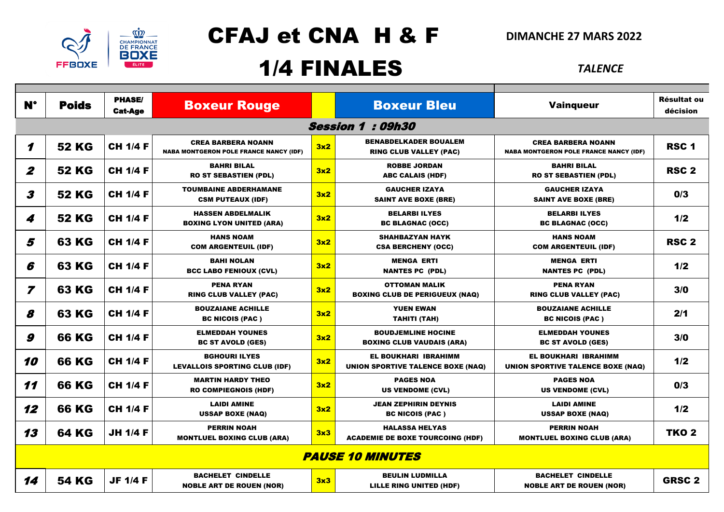

## CFAJ et CNA H & F

### **DIMANCHE 27 MARS 2022**

### 1/4 FINALES *TALENCE*

| <b>PHASE/</b><br>$N^{\circ}$<br><b>Boxeur Bleu</b><br><b>Poids</b><br><b>Boxeur Rouge</b><br><b>Vainqueur</b>                                                                                                                                                            | Résultat ou      |
|--------------------------------------------------------------------------------------------------------------------------------------------------------------------------------------------------------------------------------------------------------------------------|------------------|
| <b>Cat-Age</b>                                                                                                                                                                                                                                                           | décision         |
| <b>Session 1:09h30</b>                                                                                                                                                                                                                                                   |                  |
| <b>BENABDELKADER BOUALEM</b><br><b>CREA BARBERA NOANN</b><br><b>CREA BARBERA NOANN</b><br><b>52 KG</b><br>1<br><b>CH 1/4 F</b><br>3x2<br><b>NABA MONTGERON POLE FRANCE NANCY (IDF)</b><br><b>NABA MONTGERON POLE FRANCE NANCY (IDF)</b><br><b>RING CLUB VALLEY (PAC)</b> | RSC <sub>1</sub> |
| <b>BAHRI BILAL</b><br><b>ROBBE JORDAN</b><br><b>BAHRI BILAL</b><br>$\boldsymbol{2}$<br><b>52 KG</b><br><b>CH 1/4 F</b><br>3x2<br><b>RO ST SEBASTIEN (PDL)</b><br><b>ABC CALAIS (HDF)</b><br><b>RO ST SEBASTIEN (PDL)</b>                                                 | <b>RSC 2</b>     |
| <b>TOUMBAINE ABDERHAMANE</b><br><b>GAUCHER IZAYA</b><br><b>GAUCHER IZAYA</b><br>3<br><b>52 KG</b><br><b>CH 1/4 F</b><br>3x2<br><b>CSM PUTEAUX (IDF)</b><br><b>SAINT AVE BOXE (BRE)</b><br><b>SAINT AVE BOXE (BRE)</b>                                                    | 0/3              |
| <b>HASSEN ABDELMALIK</b><br><b>BELARBI ILYES</b><br><b>BELARBI ILYES</b><br><b>52 KG</b><br>4<br><b>CH 1/4 F</b><br>3x2<br><b>BOXING LYON UNITED (ARA)</b><br><b>BC BLAGNAC (OCC)</b><br><b>BC BLAGNAC (OCC)</b>                                                         | 1/2              |
| <b>HANS NOAM</b><br><b>SHAHBAZYAN HAYK</b><br><b>HANS NOAM</b><br>5<br><b>63 KG</b><br><b>CH 1/4 F</b><br>3x2<br><b>COM ARGENTEUIL (IDF)</b><br><b>COM ARGENTEUIL (IDF)</b><br><b>CSA BERCHENY (OCC)</b>                                                                 | <b>RSC 2</b>     |
| <b>BAHI NOLAN</b><br><b>MENGA ERTI</b><br><b>MENGA ERTI</b><br><b>63 KG</b><br><b>CH 1/4 F</b><br>6<br>3x2<br><b>BCC LABO FENIOUX (CVL)</b><br><b>NANTES PC (PDL)</b><br><b>NANTES PC (PDL)</b>                                                                          | 1/2              |
| <b>PENA RYAN</b><br><b>OTTOMAN MALIK</b><br><b>PENA RYAN</b><br>7<br><b>63 KG</b><br><b>CH 1/4 F</b><br>3x2<br><b>RING CLUB VALLEY (PAC)</b><br><b>BOXING CLUB DE PERIGUEUX (NAQ)</b><br><b>RING CLUB VALLEY (PAC)</b>                                                   | 3/0              |
| <b>BOUZAIANE ACHILLE</b><br><b>YUEN EWAN</b><br><b>BOUZAIANE ACHILLE</b><br><b>63 KG</b><br>8<br><b>CH 1/4 F</b><br>3x2<br><b>BC NICOIS (PAC)</b><br>TAHITI (TAH)<br><b>BC NICOIS (PAC)</b>                                                                              | 2/1              |
| <b>ELMEDDAH YOUNES</b><br><b>BOUDJEMLINE HOCINE</b><br><b>ELMEDDAH YOUNES</b><br><b>66 KG</b><br><b>CH 1/4 F</b><br>9<br>3x2<br><b>BC ST AVOLD (GES)</b><br><b>BOXING CLUB VAUDAIS (ARA)</b><br><b>BC ST AVOLD (GES)</b>                                                 | 3/0              |
| <b>BGHOURI ILYES</b><br><b>EL BOUKHARI IBRAHIMM</b><br><b>EL BOUKHARI IBRAHIMM</b><br>10<br><b>66 KG</b><br><b>CH 1/4 F</b><br>3x2<br><b>LEVALLOIS SPORTING CLUB (IDF)</b><br>UNION SPORTIVE TALENCE BOXE (NAQ)<br>UNION SPORTIVE TALENCE BOXE (NAQ)                     | 1/2              |
| <b>PAGES NOA</b><br><b>PAGES NOA</b><br><b>MARTIN HARDY THEO</b><br>11<br><b>66 KG</b><br><b>CH 1/4 F</b><br>3x2<br><b>RO COMPIEGNOIS (HDF)</b><br><b>US VENDOME (CVL)</b><br><b>US VENDOME (CVL)</b>                                                                    | 0/3              |
| <b>LAIDI AMINE</b><br><b>JEAN ZEPHIRIN DEYNIS</b><br><b>LAIDI AMINE</b><br>12<br><b>66 KG</b><br><b>CH 1/4 F</b><br>3x2<br><b>USSAP BOXE (NAQ)</b><br><b>BC NICOIS (PAC)</b><br><b>USSAP BOXE (NAQ)</b>                                                                  | 1/2              |
| <b>PERRIN NOAH</b><br><b>HALASSA HELYAS</b><br><b>PERRIN NOAH</b><br>13<br><b>64 KG</b><br><b>JH 1/4 F</b><br>3x3<br><b>MONTLUEL BOXING CLUB (ARA)</b><br><b>ACADEMIE DE BOXE TOURCOING (HDF)</b><br><b>MONTLUEL BOXING CLUB (ARA)</b>                                   | TKO <sub>2</sub> |
| <b>PAUSE 10 MINUTES</b>                                                                                                                                                                                                                                                  |                  |
| <b>BACHELET CINDELLE</b><br><b>BEULIN LUDMILLA</b><br><b>BACHELET CINDELLE</b><br><b>54 KG</b><br>14<br><b>JF 1/4 F</b><br>3x3<br><b>NOBLE ART DE ROUEN (NOR)</b><br><b>NOBLE ART DE ROUEN (NOR)</b><br>LILLE RING UNITED (HDF)                                          | <b>GRSC 2</b>    |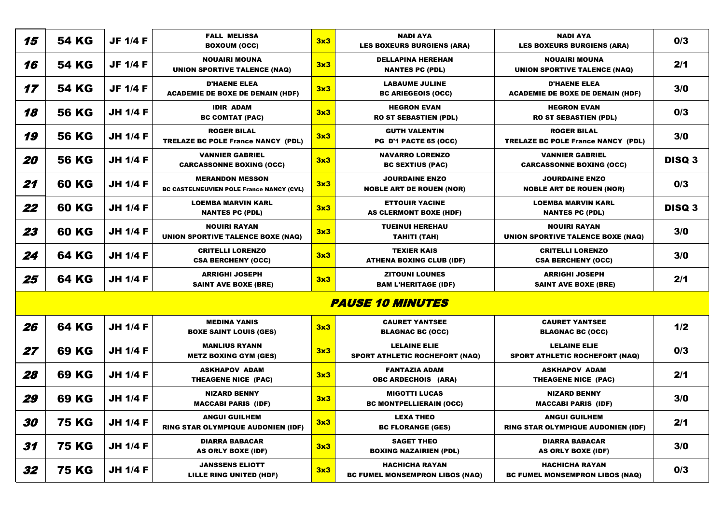| 15               | <b>54 KG</b> | <b>JF 1/4 F</b> | <b>FALL MELISSA</b><br><b>BOXOUM (OCC)</b>                                | 3x3 | <b>NADI AYA</b><br><b>LES BOXEURS BURGIENS (ARA)</b>            | <b>NADI AYA</b><br><b>LES BOXEURS BURGIENS (ARA)</b>              | 0/3           |
|------------------|--------------|-----------------|---------------------------------------------------------------------------|-----|-----------------------------------------------------------------|-------------------------------------------------------------------|---------------|
| 16               | <b>54 KG</b> | <b>JF 1/4 F</b> | <b>NOUAIRI MOUNA</b><br><b>UNION SPORTIVE TALENCE (NAQ)</b>               | 3x3 | <b>DELLAPINA HEREHAN</b><br><b>NANTES PC (PDL)</b>              | <b>NOUAIRI MOUNA</b><br><b>UNION SPORTIVE TALENCE (NAQ)</b>       | 2/1           |
| 17               | <b>54 KG</b> | <b>JF 1/4 F</b> | <b>D'HAENE ELEA</b><br><b>ACADEMIE DE BOXE DE DENAIN (HDF)</b>            | 3x3 | <b>LABAUME JULINE</b><br><b>BC ARIEGEOIS (OCC)</b>              | <b>D'HAENE ELEA</b><br><b>ACADEMIE DE BOXE DE DENAIN (HDF)</b>    | 3/0           |
| 18               | <b>56 KG</b> | <b>JH 1/4 F</b> | <b>IDIR ADAM</b><br><b>BC COMTAT (PAC)</b>                                | 3x3 | <b>HEGRON EVAN</b><br><b>RO ST SEBASTIEN (PDL)</b>              | <b>HEGRON EVAN</b><br><b>RO ST SEBASTIEN (PDL)</b>                | 0/3           |
| 19               | <b>56 KG</b> | <b>JH 1/4 F</b> | <b>ROGER BILAL</b><br><b>TRELAZE BC POLE France NANCY (PDL)</b>           | 3x3 | <b>GUTH VALENTIN</b><br><b>PG D'1 PACTE 65 (OCC)</b>            | <b>ROGER BILAL</b><br><b>TRELAZE BC POLE France NANCY (PDL)</b>   | 3/0           |
| <i><b>20</b></i> | <b>56 KG</b> | <b>JH 1/4 F</b> | <b>VANNIER GABRIEL</b><br><b>CARCASSONNE BOXING (OCC)</b>                 | 3x3 | <b>NAVARRO LORENZO</b><br><b>BC SEXTIUS (PAC)</b>               | <b>VANNIER GABRIEL</b><br><b>CARCASSONNE BOXING (OCC)</b>         | <b>DISQ 3</b> |
| 21               | <b>60 KG</b> | <b>JH 1/4 F</b> | <b>MERANDON MESSON</b><br><b>BC CASTELNEUVIEN POLE France NANCY (CVL)</b> | 3x3 | <b>JOURDAINE ENZO</b><br><b>NOBLE ART DE ROUEN (NOR)</b>        | <b>JOURDAINE ENZO</b><br><b>NOBLE ART DE ROUEN (NOR)</b>          | 0/3           |
| 22               | <b>60 KG</b> | <b>JH 1/4 F</b> | <b>LOEMBA MARVIN KARL</b><br><b>NANTES PC (PDL)</b>                       | 3x3 | <b>ETTOUIR YACINE</b><br>AS CLERMONT BOXE (HDF)                 | <b>LOEMBA MARVIN KARL</b><br><b>NANTES PC (PDL)</b>               | <b>DISQ 3</b> |
| 23               | <b>60 KG</b> | <b>JH 1/4 F</b> | <b>NOUIRI RAYAN</b><br><b>UNION SPORTIVE TALENCE BOXE (NAQ)</b>           | 3x3 | <b>TUEINUI HEREHAU</b><br>TAHITI (TAH)                          | <b>NOUIRI RAYAN</b><br><b>UNION SPORTIVE TALENCE BOXE (NAQ)</b>   | 3/0           |
| 24               | <b>64 KG</b> | <b>JH 1/4 F</b> | <b>CRITELLI LORENZO</b><br><b>CSA BERCHENY (OCC)</b>                      | 3x3 | <b>TEXIER KAIS</b><br><b>ATHENA BOXING CLUB (IDF)</b>           | <b>CRITELLI LORENZO</b><br><b>CSA BERCHENY (OCC)</b>              | 3/0           |
| 25               | <b>64 KG</b> | <b>JH 1/4 F</b> | <b>ARRIGHI JOSEPH</b><br><b>SAINT AVE BOXE (BRE)</b>                      | 3x3 | <b>ZITOUNI LOUNES</b><br><b>BAM L'HERITAGE (IDF)</b>            | <b>ARRIGHI JOSEPH</b><br><b>SAINT AVE BOXE (BRE)</b>              | 2/1           |
|                  |              |                 |                                                                           |     | <b>PAUSE 10 MINUTES</b>                                         |                                                                   |               |
| 26               | <b>64 KG</b> | <b>JH 1/4 F</b> | <b>MEDINA YANIS</b><br><b>BOXE SAINT LOUIS (GES)</b>                      | 3x3 | <b>CAURET YANTSEE</b><br><b>BLAGNAC BC (OCC)</b>                | <b>CAURET YANTSEE</b><br><b>BLAGNAC BC (OCC)</b>                  | 1/2           |
| 27               | <b>69 KG</b> | <b>JH 1/4 F</b> | <b>MANLIUS RYANN</b><br><b>METZ BOXING GYM (GES)</b>                      | 3x3 | <b>LELAINE ELIE</b><br><b>SPORT ATHLETIC ROCHEFORT (NAQ)</b>    | <b>LELAINE ELIE</b><br><b>SPORT ATHLETIC ROCHEFORT (NAQ)</b>      | 0/3           |
| 28               | 69 KG        | <b>JH 1/4 F</b> | <b>ASKHAPOV ADAM</b><br>THEAGENE NICE (PAC)                               | 3x3 | <b>FANTAZIA ADAM</b><br>OBC ARDECHOIS (ARA)                     | <b>ASKHAPOV ADAM</b><br>THEAGENE NICE (PAC)                       | 2/1           |
| 29               | <b>69 KG</b> | <b>JH 1/4 F</b> | <b>NIZARD BENNY</b><br><b>MACCABI PARIS (IDF)</b>                         | 3x3 | <b>MIGOTTI LUCAS</b><br><b>BC MONTPELLIERAIN (OCC)</b>          | <b>NIZARD BENNY</b><br><b>MACCABI PARIS (IDF)</b>                 | 3/0           |
| 30               | <b>75 KG</b> | <b>JH 1/4 F</b> | <b>ANGUI GUILHEM</b><br><b>RING STAR OLYMPIQUE AUDONIEN (IDF)</b>         | 3x3 | <b>LEXA THEO</b><br><b>BC FLORANGE (GES)</b>                    | <b>ANGUI GUILHEM</b><br><b>RING STAR OLYMPIQUE AUDONIEN (IDF)</b> | 2/1           |
| 31               | <b>75 KG</b> | <b>JH 1/4 F</b> | <b>DIARRA BABACAR</b><br>AS ORLY BOXE (IDF)                               | 3x3 | <b>SAGET THEO</b><br><b>BOXING NAZAIRIEN (PDL)</b>              | <b>DIARRA BABACAR</b><br>AS ORLY BOXE (IDF)                       | 3/0           |
| 32               | <b>75 KG</b> | <b>JH 1/4 F</b> | <b>JANSSENS ELIOTT</b><br>LILLE RING UNITED (HDF)                         | 3x3 | <b>HACHICHA RAYAN</b><br><b>BC FUMEL MONSEMPRON LIBOS (NAQ)</b> | <b>HACHICHA RAYAN</b><br><b>BC FUMEL MONSEMPRON LIBOS (NAQ)</b>   | 0/3           |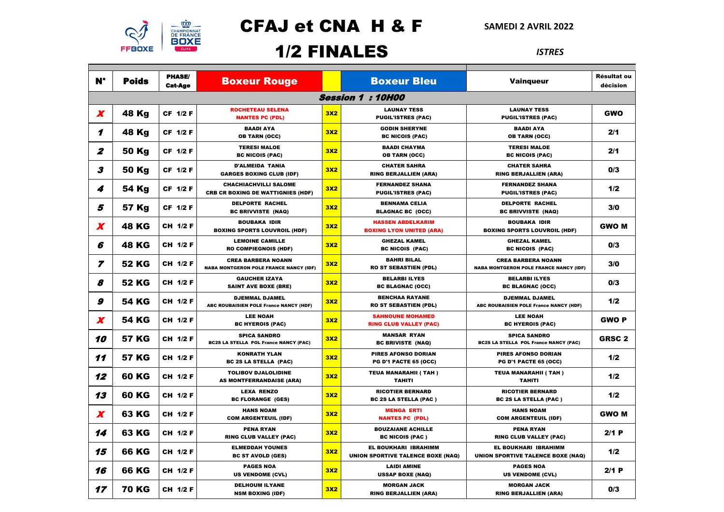

### CFAJ et CNA H & F

**SAMEDI 2 AVRIL 2022**

### 1/2 FINALES *ISTRES*

| $N^{\circ}$          | <b>Poids</b> | <b>PHASE/</b><br><b>Cat-Age</b> | <b>Boxeur Rouge</b>                                                        |     | <b>Boxeur Bleu</b>                                               | <b>Vainqueur</b>                                                           | Résultat ou<br>décision |
|----------------------|--------------|---------------------------------|----------------------------------------------------------------------------|-----|------------------------------------------------------------------|----------------------------------------------------------------------------|-------------------------|
|                      |              |                                 |                                                                            |     | <b>Session 1:10H00</b>                                           |                                                                            |                         |
| X                    | 48 Kg        | <b>CF 1/2 F</b>                 | <b>ROCHETEAU SELENA</b><br><b>NANTES PC (PDL)</b>                          | 3X2 | <b>LAUNAY TESS</b><br><b>PUGIL'ISTRES (PAC)</b>                  | <b>LAUNAY TESS</b><br><b>PUGIL'ISTRES (PAC)</b>                            | <b>GWO</b>              |
| 1                    | 48 Ka        | CF 1/2 F                        | <b>BAADI AYA</b><br><b>OB TARN (OCC)</b>                                   | 3X2 | <b>GODIN SHERYNE</b><br><b>BC NICOIS (PAC)</b>                   | <b>BAADI AYA</b><br><b>OB TARN (OCC)</b>                                   | 2/1                     |
| $\boldsymbol{z}$     | 50 Kg        | <b>CF 1/2 F</b>                 | <b>TERESI MALOE</b><br><b>BC NICOIS (PAC)</b>                              | 3X2 | <b>BAADI CHAYMA</b><br><b>OB TARN (OCC)</b>                      | <b>TERESI MALOE</b><br><b>BC NICOIS (PAC)</b>                              | 2/1                     |
| $\boldsymbol{\beta}$ | 50 Kg        | CF 1/2 F                        | <b>D'ALMEIDA TANIA</b><br><b>GARGES BOXING CLUB (IDF)</b>                  | 3X2 | <b>CHATER SAHRA</b><br><b>RING BERJALLIEN (ARA)</b>              | <b>CHATER SAHRA</b><br><b>RING BERJALLIEN (ARA)</b>                        | 0/3                     |
| 4                    | 54 Kg        | <b>CF 1/2 F</b>                 | <b>CHACHIACHVILLI SALOME</b><br><b>CRB CR BOXING DE WATTIGNIES (HDF)</b>   | 3X2 | <b>FERNANDEZ SHANA</b><br><b>PUGIL'ISTRES (PAC)</b>              | <b>FERNANDEZ SHANA</b><br><b>PUGIL'ISTRES (PAC)</b>                        | 1/2                     |
| 5                    | 57 Kg        | <b>CF 1/2 F</b>                 | <b>DELPORTE RACHEL</b><br><b>BC BRIVVISTE (NAQ)</b>                        | 3X2 | <b>BENNAMA CELIA</b><br><b>BLAGNAC BC (OCC)</b>                  | <b>DELPORTE RACHEL</b><br><b>BC BRIVVISTE (NAQ)</b>                        | 3/0                     |
| $\boldsymbol{x}$     | <b>48 KG</b> | CH 1/2 F                        | <b>BOUBAKA IDIR</b><br><b>BOXING SPORTS LOUVROIL (HDF)</b>                 | 3X2 | <b>HASSEN ABDELKARIM</b><br><b>BOXING LYON UNITED (ARA)</b>      | <b>BOUBAKA IDIR</b><br><b>BOXING SPORTS LOUVROIL (HDF)</b>                 | <b>GWO M</b>            |
| 6                    | <b>48 KG</b> | CH 1/2 F                        | <b>LEMOINE CAMILLE</b><br><b>RO COMPIEGNOIS (HDF)</b>                      | 3X2 | <b>GHEZAL KAMEL</b><br><b>BC NICOIS (PAC)</b>                    | <b>GHEZAL KAMEL</b><br><b>BC NICOIS (PAC)</b>                              | 0/3                     |
| 7                    | <b>52 KG</b> | CH 1/2 F                        | <b>CREA BARBERA NOANN</b><br><b>NABA MONTGERON POLE FRANCE NANCY (IDF)</b> | 3X2 | <b>BAHRI BILAL</b><br><b>RO ST SEBASTIEN (PDL)</b>               | <b>CREA BARBERA NOANN</b><br><b>NABA MONTGERON POLE FRANCE NANCY (IDF)</b> | 3/0                     |
| 8                    | <b>52 KG</b> | CH 1/2 F                        | <b>GAUCHER IZAYA</b><br><b>SAINT AVE BOXE (BRE)</b>                        | 3X2 | <b>BELARBI ILYES</b><br><b>BC BLAGNAC (OCC)</b>                  | <b>BELARBI ILYES</b><br><b>BC BLAGNAC (OCC)</b>                            | 0/3                     |
| $\boldsymbol{g}$     | 54 KG        | CH 1/2 F                        | <b>DJEMMAL DJAMEL</b><br>ABC ROUBAISIEN POLE France NANCY (HDF)            | 3X2 | <b>BENCHAA RAYANE</b><br><b>RO ST SEBASTIEN (PDL)</b>            | <b>DJEMMAL DJAMEL</b><br><b>ABC ROUBAISIEN POLE France NANCY (HDF)</b>     | 1/2                     |
| X                    | <b>54 KG</b> | CH 1/2 F                        | <b>LEE NOAH</b><br><b>BC HYEROIS (PAC)</b>                                 | 3X2 | <b>SAHNOUNE MOHAMED</b><br><b>RING CLUB VALLEY (PAC)</b>         | <b>LEE NOAH</b><br><b>BC HYEROIS (PAC)</b>                                 | <b>GWO P</b>            |
| 10                   | <b>57 KG</b> | CH 1/2 F                        | <b>SPICA SANDRO</b><br><b>BC2S LA STELLA POL France NANCY (PAC)</b>        | 3X2 | <b>MANSAR RYAN</b><br><b>BC BRIVISTE (NAQ)</b>                   | <b>SPICA SANDRO</b><br><b>BC2S LA STELLA POL France NANCY (PAC)</b>        | <b>GRSC 2</b>           |
| 11                   | <b>57 KG</b> | CH 1/2 F                        | <b>KONRATH YLAN</b><br><b>BC 2S LA STELLA (PAC)</b>                        | 3X2 | <b>PIRES AFONSO DORIAN</b><br><b>PG D'1 PACTE 65 (OCC)</b>       | PIRES AFONSO DORIAN<br><b>PG D'1 PACTE 65 (OCC)</b>                        | 1/2                     |
| 12                   | 60 KG        | CH 1/2 F                        | <b>TOLIBOV DJALOLIDINE</b><br><b>AS MONTFERRANDAISE (ARA)</b>              | 3X2 | <b>TEUA MANARAHII (TAH)</b><br><b>TAHITI</b>                     | <b>TEUA MANARAHII (TAH)</b><br><b>TAHITI</b>                               | 1/2                     |
| 13                   | 60 KG        | CH 1/2 F                        | <b>LEXA RENZO</b><br><b>BC FLORANGE (GES)</b>                              | 3X2 | <b>RICOTIER BERNARD</b><br><b>BC 2S LA STELLA (PAC)</b>          | <b>RICOTIER BERNARD</b><br><b>BC 2S LA STELLA (PAC)</b>                    | 1/2                     |
| X                    | 63 KG        | CH 1/2 F                        | <b>HANS NOAM</b><br><b>COM ARGENTEUIL (IDF)</b>                            | 3X2 | <b>MENGA ERTI</b><br><b>NANTES PC (PDL)</b>                      | <b>HANS NOAM</b><br><b>COM ARGENTEUIL (IDF)</b>                            | <b>GWO M</b>            |
| 14                   | 63 KG        | CH 1/2 F                        | <b>PENA RYAN</b><br><b>RING CLUB VALLEY (PAC)</b>                          | 3X2 | <b>BOUZAIANE ACHILLE</b><br><b>BC NICOIS (PAC)</b>               | <b>PENA RYAN</b><br><b>RING CLUB VALLEY (PAC)</b>                          | $2/1$ P                 |
| 15                   | <b>66 KG</b> | CH 1/2 F                        | <b>ELMEDDAH YOUNES</b><br><b>BC ST AVOLD (GES)</b>                         | 3X2 | <b>EL BOUKHARI IBRAHIMM</b><br>UNION SPORTIVE TALENCE BOXE (NAQ) | <b>EL BOUKHARI IBRAHIMM</b><br>UNION SPORTIVE TALENCE BOXE (NAQ)           | 1/2                     |
| 16                   | <b>66 KG</b> | CH 1/2 F                        | <b>PAGES NOA</b><br><b>US VENDOME (CVL)</b>                                | 3X2 | <b>LAIDI AMINE</b><br><b>USSAP BOXE (NAQ)</b>                    | <b>PAGES NOA</b><br><b>US VENDOME (CVL)</b>                                | 2/1P                    |
| 17                   | <b>70 KG</b> | CH 1/2 F                        | <b>DELHOUM ILYANE</b><br><b>NSM BOXING (IDF)</b>                           | 3X2 | <b>MORGAN JACK</b><br><b>RING BERJALLIEN (ARA)</b>               | <b>MORGAN JACK</b><br><b>RING BERJALLIEN (ARA)</b>                         | 0/3                     |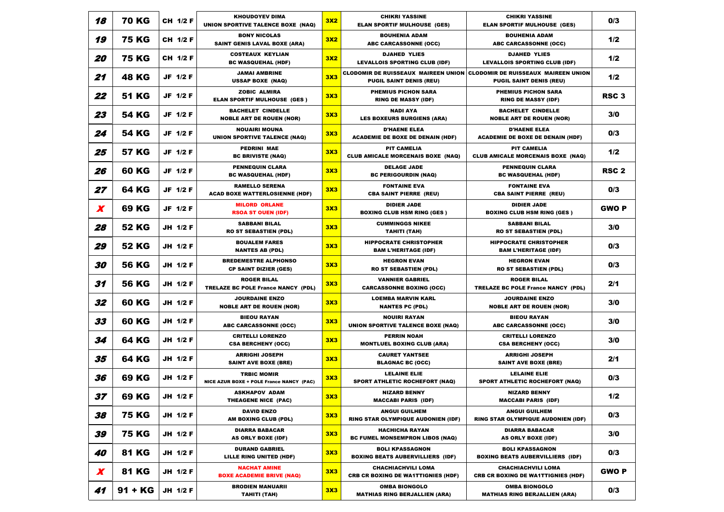| 18 | <b>70 KG</b> | CH 1/2 F        | <b>KHOUDOYEV DIMA</b><br>UNION SPORTIVE TALENCE BOXE (NAQ)     | 3X2        | <b>CHIKRI YASSINE</b><br><b>ELAN SPORTIF MULHOUSE (GES)</b>            | <b>CHIKRI YASSINE</b><br><b>ELAN SPORTIF MULHOUSE (GES)</b>                                                      | 0/3              |
|----|--------------|-----------------|----------------------------------------------------------------|------------|------------------------------------------------------------------------|------------------------------------------------------------------------------------------------------------------|------------------|
| 19 | <b>75 KG</b> | CH 1/2 F        | <b>BONY NICOLAS</b><br><b>SAINT GENIS LAVAL BOXE (ARA)</b>     | 3X2        | <b>BOUHENIA ADAM</b><br>ABC CARCASSONNE (OCC)                          | <b>BOUHENIA ADAM</b><br>ABC CARCASSONNE (OCC)                                                                    | 1/2              |
| 20 | <b>75 KG</b> | CH 1/2 F        | <b>COSTEAUX KEYLIAN</b><br><b>BC WASQUEHAL (HDF)</b>           | 3X2        | <b>DJAHED YLIES</b><br><b>LEVALLOIS SPORTING CLUB (IDF)</b>            | <b>DJAHED YLIES</b><br><b>LEVALLOIS SPORTING CLUB (IDF)</b>                                                      | 1/2              |
| 21 | <b>48 KG</b> | JF 1/2 F        | <b>JAMAI AMBRINE</b><br><b>USSAP BOXE (NAQ)</b>                | 3X3        | <b>PUGIL SAINT DENIS (REU)</b>                                         | <b>CLODOMIR DE RUISSEAUX MAIREEN UNION CLODOMIR DE RUISSEAUX MAIREEN UNION</b><br><b>PUGIL SAINT DENIS (REU)</b> | 1/2              |
| 22 | <b>51 KG</b> | JF 1/2 F        | <b>ZOBIC ALMIRA</b><br><b>ELAN SPORTIF MULHOUSE (GES)</b>      | 3X3        | <b>PHEMIUS PICHON SARA</b><br><b>RING DE MASSY (IDF)</b>               | <b>PHEMIUS PICHON SARA</b><br><b>RING DE MASSY (IDF)</b>                                                         | RSC <sub>3</sub> |
| 23 | <b>54 KG</b> | JF 1/2 F        | <b>BACHELET CINDELLE</b><br><b>NOBLE ART DE ROUEN (NOR)</b>    | 3X3        | <b>NADI AYA</b><br><b>LES BOXEURS BURGIENS (ARA)</b>                   | <b>BACHELET CINDELLE</b><br><b>NOBLE ART DE ROUEN (NOR)</b>                                                      | 3/0              |
| 24 | <b>54 KG</b> | JF 1/2 F        | <b>NOUAIRI MOUNA</b><br>UNION SPORTIVE TALENCE (NAQ)           | 3X3        | <b>D'HAENE ELEA</b><br><b>ACADEMIE DE BOXE DE DENAIN (HDF)</b>         | <b>D'HAENE ELEA</b><br><b>ACADEMIE DE BOXE DE DENAIN (HDF)</b>                                                   | 0/3              |
| 25 | <b>57 KG</b> | <b>JF 1/2 F</b> | <b>PEDRINI MAE</b><br><b>BC BRIVISTE (NAQ)</b>                 | 3X3        | <b>PIT CAMELIA</b><br><b>CLUB AMICALE MORCENAIS BOXE (NAQ)</b>         | <b>PIT CAMELIA</b><br><b>CLUB AMICALE MORCENAIS BOXE (NAQ)</b>                                                   | 1/2              |
| 26 | 60 KG        | <b>JF 1/2 F</b> | <b>PENNEQUIN CLARA</b><br><b>BC WASQUEHAL (HDF)</b>            | 3X3        | <b>DELAGE JADE</b><br><b>BC PERIGOURDIN (NAQ)</b>                      | <b>PENNEQUIN CLARA</b><br><b>BC WASQUEHAL (HDF)</b>                                                              | RSC <sub>2</sub> |
| 27 | <b>64 KG</b> | JF 1/2 F        | <b>RAMELLO SERENA</b><br><b>ACAD BOXE WATTERLOSIENNE (HDF)</b> | 3X3        | <b>FONTAINE EVA</b><br><b>CBA SAINT PIERRE (REU)</b>                   | <b>FONTAINE EVA</b><br><b>CBA SAINT PIERRE (REU)</b>                                                             | 0/3              |
| X  | 69 KG        | JF 1/2 F        | <b>MILORD ORLANE</b><br><b>RSOA ST OUEN (IDF)</b>              | 3X3        | <b>DIDIER JADE</b><br><b>BOXING CLUB HSM RING (GES)</b>                | <b>DIDIER JADE</b><br><b>BOXING CLUB HSM RING (GES)</b>                                                          | <b>GWOP</b>      |
| 28 | <b>52 KG</b> | JH 1/2 F        | <b>SABBANI BILAL</b><br><b>RO ST SEBASTIEN (PDL)</b>           | 3X3        | <b>CUMMINGGS NIKEE</b><br>TAHITI (TAH)                                 | <b>SABBANI BILAL</b><br><b>RO ST SEBASTIEN (PDL)</b>                                                             | 3/0              |
| 29 | <b>52 KG</b> | JH 1/2 F        | <b>BOUALEM FARES</b><br><b>NANTES AB (PDL)</b>                 | 3X3        | <b>HIPPOCRATE CHRISTOPHER</b><br><b>BAM L'HERITAGE (IDF)</b>           | <b>HIPPOCRATE CHRISTOPHER</b><br><b>BAM L'HERITAGE (IDF)</b>                                                     | 0/3              |
| 30 | <b>56 KG</b> | JH 1/2 F        | <b>BREDEMESTRE ALPHONSO</b>                                    | 3X3        | <b>HEGRON EVAN</b>                                                     | <b>HEGRON EVAN</b>                                                                                               | 0/3              |
|    |              |                 | <b>CP SAINT DIZIER (GES)</b>                                   |            | <b>RO ST SEBASTIEN (PDL)</b>                                           | <b>RO ST SEBASTIEN (PDL)</b>                                                                                     |                  |
| 31 | <b>56 KG</b> | JH 1/2 F        | <b>ROGER BILAL</b><br>TRELAZE BC POLE France NANCY (PDL)       | 3X3        | <b>VANNIER GABRIEL</b><br><b>CARCASSONNE BOXING (OCC)</b>              | <b>ROGER BILAL</b><br>TRELAZE BC POLE France NANCY (PDL)                                                         | 2/1              |
| 32 | <b>60 KG</b> | JH 1/2 F        | <b>JOURDAINE ENZO</b><br><b>NOBLE ART DE ROUEN (NOR)</b>       | 3X3        | <b>LOEMBA MARVIN KARL</b><br><b>NANTES PC (PDL)</b>                    | JOURDAINE ENZO<br><b>NOBLE ART DE ROUEN (NOR)</b>                                                                | 3/0              |
| 33 | <b>60 KG</b> | JH 1/2 F        | <b>BIEOU RAYAN</b><br>ABC CARCASSONNE (OCC)                    | 3X3        | <b>NOUIRI RAYAN</b><br>UNION SPORTIVE TALENCE BOXE (NAQ)               | <b>BIEOU RAYAN</b><br>ABC CARCASSONNE (OCC)                                                                      | 3/0              |
| 34 | <b>64 KG</b> | JH 1/2 F        | <b>CRITELLI LORENZO</b><br><b>CSA BERCHENY (OCC)</b>           | 3X3        | <b>PERRIN NOAH</b><br><b>MONTLUEL BOXING CLUB (ARA)</b>                | <b>CRITELLI LORENZO</b><br><b>CSA BERCHENY (OCC)</b>                                                             | 3/0              |
| 35 | <b>64 KG</b> | JH 1/2 F        | <b>ARRIGHI JOSEPH</b><br><b>SAINT AVE BOXE (BRE)</b>           | 3X3        | <b>CAURET YANTSEE</b><br><b>BLAGNAC BC (OCC)</b>                       | <b>ARRIGHI JOSEPH</b><br><b>SAINT AVE BOXE (BRE)</b>                                                             | 2/1              |
| 36 | <b>69 KG</b> | JH 1/2 F        | <b>TRBIC MOMIR</b><br>NICE AZUR BOXE + POLE France NANCY (PAC) | 3X3        | <b>LELAINE ELIE</b><br><b>SPORT ATHLETIC ROCHEFORT (NAQ)</b>           | <b>LELAINE ELIE</b><br><b>SPORT ATHLETIC ROCHEFORT (NAQ)</b>                                                     | 0/3              |
| 37 | <b>69 KG</b> | JH 1/2 F        | <b>ASKHAPOV ADAM</b><br>THEAGENE NICE (PAC)                    | <b>3X3</b> | <b>NIZARD BENNY</b><br><b>MACCABI PARIS (IDF)</b>                      | <b>NIZARD BENNY</b><br>MACCABI PARIS (IDF)                                                                       | 1/2              |
| 38 | <b>75 KG</b> | JH 1/2 F        | <b>DAVID ENZO</b><br>AM BOXING CLUB (PDL)                      | 3X3        | <b>ANGUI GUILHEM</b><br><b>RING STAR OLYMPIQUE AUDONIEN (IDF)</b>      | <b>ANGUI GUILHEM</b><br><b>RING STAR OLYMPIQUE AUDONIEN (IDF)</b>                                                | 0/3              |
| 39 | <b>75 KG</b> | JH 1/2 F        | <b>DIARRA BABACAR</b><br><b>AS ORLY BOXE (IDF)</b>             | 3X3        | <b>HACHICHA RAYAN</b><br><b>BC FUMEL MONSEMPRON LIBOS (NAQ)</b>        | <b>DIARRA BABACAR</b><br><b>AS ORLY BOXE (IDF)</b>                                                               | 3/0              |
| 40 | <b>81 KG</b> | JH 1/2 F        | <b>DURAND GABRIEL</b><br>LILLE RING UNITED (HDF)               | 3X3        | <b>BOLI KPASSAGNON</b><br><b>BOXING BEATS AUBERVILLIERS (IDF)</b>      | BOLI KPASSAGNON<br><b>BOXING BEATS AUBERVILLIERS (IDF)</b>                                                       | 0/3              |
| X  | <b>81 KG</b> | JH 1/2 F        | <b>NACHAT AMINE</b><br><b>BOXE ACADEMIE BRIVE (NAQ)</b>        | 3X3        | <b>CHACHIACHVILI LOMA</b><br><b>CRB CR BOXING DE WA1TTIGNIES (HDF)</b> | CHACHIACHVILI LOMA<br><b>CRB CR BOXING DE WA1TTIGNIES (HDF)</b>                                                  | GWO P            |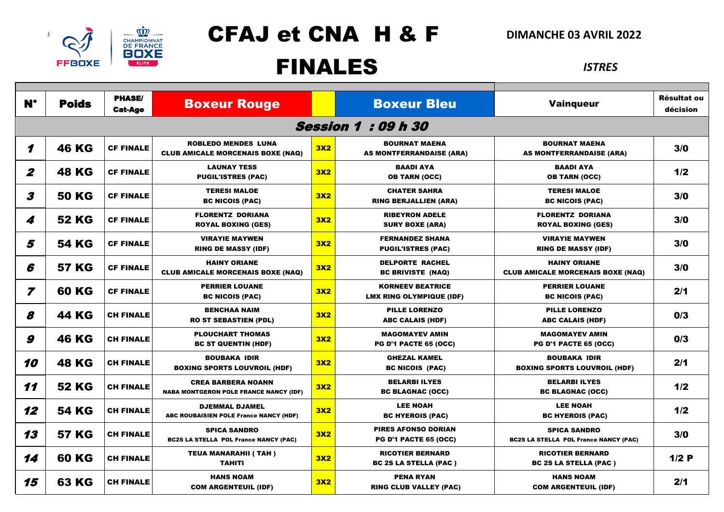

# #NOM? CFAJ et CNA H & F

### **DIMANCHE 03 AVRIL 2022**

### FINALES *ISTRES*

| $N^{\circ}$              | <b>Poids</b> | <b>PHASE/</b><br><b>Cat-Age</b> | <b>Boxeur Rouge</b>                                                        |            | <b>Boxeur Bleu</b>                                         | <b>Vainqueur</b>                                                    | <b>Résultat ou</b><br>décision |  |  |  |  |
|--------------------------|--------------|---------------------------------|----------------------------------------------------------------------------|------------|------------------------------------------------------------|---------------------------------------------------------------------|--------------------------------|--|--|--|--|
| <b>Session 1:09 h 30</b> |              |                                 |                                                                            |            |                                                            |                                                                     |                                |  |  |  |  |
| 1                        | <b>46 KG</b> | <b>CF FINALE</b>                | <b>ROBLEDO MENDES LUNA</b><br><b>CLUB AMICALE MORCENAIS BOXE (NAQ)</b>     | 3X2        | <b>BOURNAT MAENA</b><br><b>AS MONTFERRANDAISE (ARA)</b>    | <b>BOURNAT MAENA</b><br><b>AS MONTFERRANDAISE (ARA)</b>             | 3/0                            |  |  |  |  |
| $\boldsymbol{z}$         | <b>48 KG</b> | <b>CF FINALE</b>                | <b>LAUNAY TESS</b><br><b>PUGIL'ISTRES (PAC)</b>                            | <b>3X2</b> | <b>BAADI AYA</b><br><b>OB TARN (OCC)</b>                   | <b>BAADI AYA</b><br><b>OB TARN (OCC)</b>                            | 1/2                            |  |  |  |  |
| 3                        | <b>50 KG</b> | <b>CF FINALE</b>                | <b>TERESI MALOE</b><br><b>BC NICOIS (PAC)</b>                              | <b>3X2</b> | <b>CHATER SAHRA</b><br><b>RING BERJALLIEN (ARA)</b>        | <b>TERESI MALOE</b><br><b>BC NICOIS (PAC)</b>                       | 3/0                            |  |  |  |  |
| 4                        | <b>52 KG</b> | <b>CF FINALE</b>                | <b>FLORENTZ DORIANA</b><br><b>ROYAL BOXING (GES)</b>                       | 3X2        | <b>RIBEYRON ADELE</b><br><b>SURY BOXE (ARA)</b>            | <b>FLORENTZ DORIANA</b><br><b>ROYAL BOXING (GES)</b>                | 3/0                            |  |  |  |  |
| 5                        | <b>54 KG</b> | <b>CF FINALE</b>                | <b>VIRAYIE MAYWEN</b><br><b>RING DE MASSY (IDF)</b>                        | 3X2        | <b>FERNANDEZ SHANA</b><br><b>PUGIL'ISTRES (PAC)</b>        | <b>VIRAYIE MAYWEN</b><br><b>RING DE MASSY (IDF)</b>                 | 3/0                            |  |  |  |  |
| 6                        | <b>57 KG</b> | <b>CF FINALE</b>                | <b>HAINY ORIANE</b><br><b>CLUB AMICALE MORCENAIS BOXE (NAQ)</b>            | 3X2        | <b>DELPORTE RACHEL</b><br><b>BC BRIVISTE (NAQ)</b>         | <b>HAINY ORIANE</b><br><b>CLUB AMICALE MORCENAIS BOXE (NAQ)</b>     | 3/0                            |  |  |  |  |
| $\overline{z}$           | <b>60 KG</b> | <b>CF FINALE</b>                | <b>PERRIER LOUANE</b><br><b>BC NICOIS (PAC)</b>                            | <b>3X2</b> | <b>KORNEEV BEATRICE</b><br>LMX RING OLYMPIQUE (IDF)        | <b>PERRIER LOUANE</b><br><b>BC NICOIS (PAC)</b>                     | 2/1                            |  |  |  |  |
| 8                        | <b>44 KG</b> | <b>CH FINALE</b>                | <b>BENCHAA NAIM</b><br><b>RO ST SEBASTIEN (PDL)</b>                        | 3X2        | <b>PILLE LORENZO</b><br><b>ABC CALAIS (HDF)</b>            | <b>PILLE LORENZO</b><br><b>ABC CALAIS (HDF)</b>                     | 0/3                            |  |  |  |  |
| $\boldsymbol{g}$         | <b>46 KG</b> | <b>CH FINALE</b>                | <b>PLOUCHART THOMAS</b><br><b>BC ST QUENTIN (HDF)</b>                      | 3X2        | <b>MAGOMAYEV AMIN</b><br><b>PG D'1 PACTE 65 (OCC)</b>      | <b>MAGOMAYEV AMIN</b><br><b>PG D'1 PACTE 65 (OCC)</b>               | 0/3                            |  |  |  |  |
| 10                       | <b>48 KG</b> | <b>CH FINALE</b>                | <b>BOUBAKA IDIR</b><br><b>BOXING SPORTS LOUVROIL (HDF)</b>                 | 3X2        | <b>GHEZAL KAMEL</b><br><b>BC NICOIS (PAC)</b>              | <b>BOUBAKA IDIR</b><br><b>BOXING SPORTS LOUVROIL (HDF)</b>          | 2/1                            |  |  |  |  |
| 11                       | <b>52 KG</b> | <b>CH FINALE</b>                | <b>CREA BARBERA NOANN</b><br><b>NABA MONTGERON POLE FRANCE NANCY (IDF)</b> | 3X2        | <b>BELARBI ILYES</b><br><b>BC BLAGNAC (OCC)</b>            | <b>BELARBI ILYES</b><br><b>BC BLAGNAC (OCC)</b>                     | 1/2                            |  |  |  |  |
| 12                       | <b>54 KG</b> | <b>CH FINALE</b>                | <b>DJEMMAL DJAMEL</b><br>ABC ROUBAISIEN POLE France NANCY (HDF)            | 3X2        | <b>LEE NOAH</b><br><b>BC HYEROIS (PAC)</b>                 | <b>LEE NOAH</b><br><b>BC HYEROIS (PAC)</b>                          | 1/2                            |  |  |  |  |
| 13                       | <b>57 KG</b> | <b>CH FINALE</b>                | <b>SPICA SANDRO</b><br><b>BC2S LA STELLA POL France NANCY (PAC)</b>        | <b>3X2</b> | <b>PIRES AFONSO DORIAN</b><br><b>PG D'1 PACTE 65 (OCC)</b> | <b>SPICA SANDRO</b><br><b>BC2S LA STELLA POL France NANCY (PAC)</b> | 3/0                            |  |  |  |  |
| 14                       | <b>60 KG</b> | <b>CH FINALE</b>                | <b>TEUA MANARAHII (TAH)</b><br><b>TAHITI</b>                               | 3X2        | <b>RICOTIER BERNARD</b><br><b>BC 2S LA STELLA (PAC )</b>   | <b>RICOTIER BERNARD</b><br><b>BC 2S LA STELLA (PAC )</b>            | 1/2P                           |  |  |  |  |
| 15                       | <b>63 KG</b> | <b>CH FINALE</b>                | <b>HANS NOAM</b><br><b>COM ARGENTEUIL (IDF)</b>                            | 3X2        | <b>PENA RYAN</b><br><b>RING CLUB VALLEY (PAC)</b>          | <b>HANS NOAM</b><br><b>COM ARGENTEUIL (IDF)</b>                     | 2/1                            |  |  |  |  |